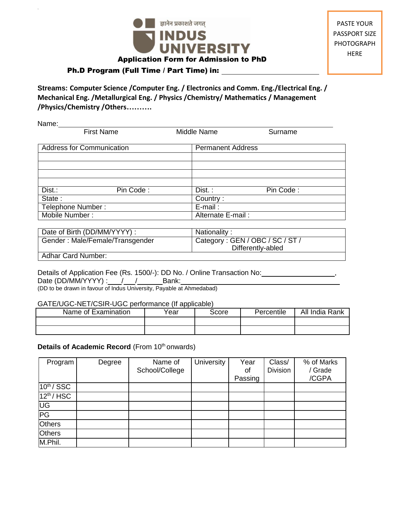

PASTE YOUR PASSPORT SIZE PHOTOGRAPH HERE

# Ph.D Program (Full Time / Part Time) in:

**Streams: Computer Science /Computer Eng. / Electronics and Comm. Eng./Electrical Eng. / Mechanical Eng. /Metallurgical Eng. / Physics /Chemistry/ Mathematics / Management /Physics/Chemistry /Others……….**

| Name:                            |           |                          |           |  |  |
|----------------------------------|-----------|--------------------------|-----------|--|--|
| <b>First Name</b>                |           | Middle Name              | Surname   |  |  |
| <b>Address for Communication</b> |           | <b>Permanent Address</b> |           |  |  |
|                                  |           |                          |           |  |  |
|                                  |           |                          |           |  |  |
| Dist.:                           | Pin Code: | $Dist.$ :                | Pin Code: |  |  |
| State:                           |           | Country:                 |           |  |  |
| Telephone Number:                |           | $E$ -mail:               |           |  |  |
| Mobile Number:                   |           | Alternate E-mail:        |           |  |  |

| Date of Birth (DD/MM/YYYY) :    | Nationality:                    |
|---------------------------------|---------------------------------|
| Gender: Male/Female/Transgender | Category: GEN / OBC / SC / ST / |
|                                 | Differently-abled               |
| <b>Adhar Card Number:</b>       |                                 |

Details of Application Fee (Rs. 1500/-): DD No. / Online Transaction No: Date (DD/MM/YYYY) : / / / Bank: (DD to be drawn in favour of Indus University, Payable at Ahmedabad)

#### GATE/UGC-NET/CSIR-UGC performance (If applicable)

| Name of Examination | Year | Score | Percentile | All India Rank |  |  |  |
|---------------------|------|-------|------------|----------------|--|--|--|
|                     |      |       |            |                |  |  |  |
|                     |      |       |            |                |  |  |  |

## **Details of Academic Record (From 10<sup>th</sup> onwards)**

| Program         | Degree | Name of<br>School/College | <b>University</b> | Year<br>оf | Class/<br><b>Division</b> | % of Marks<br>Grade |
|-----------------|--------|---------------------------|-------------------|------------|---------------------------|---------------------|
|                 |        |                           |                   | Passing    |                           | /CGPA               |
| $10^{th}$ / SSC |        |                           |                   |            |                           |                     |
| $12^{th}/HSC$   |        |                           |                   |            |                           |                     |
| UG              |        |                           |                   |            |                           |                     |
| PG              |        |                           |                   |            |                           |                     |
| <b>Others</b>   |        |                           |                   |            |                           |                     |
| <b>Others</b>   |        |                           |                   |            |                           |                     |
| M.Phil.         |        |                           |                   |            |                           |                     |